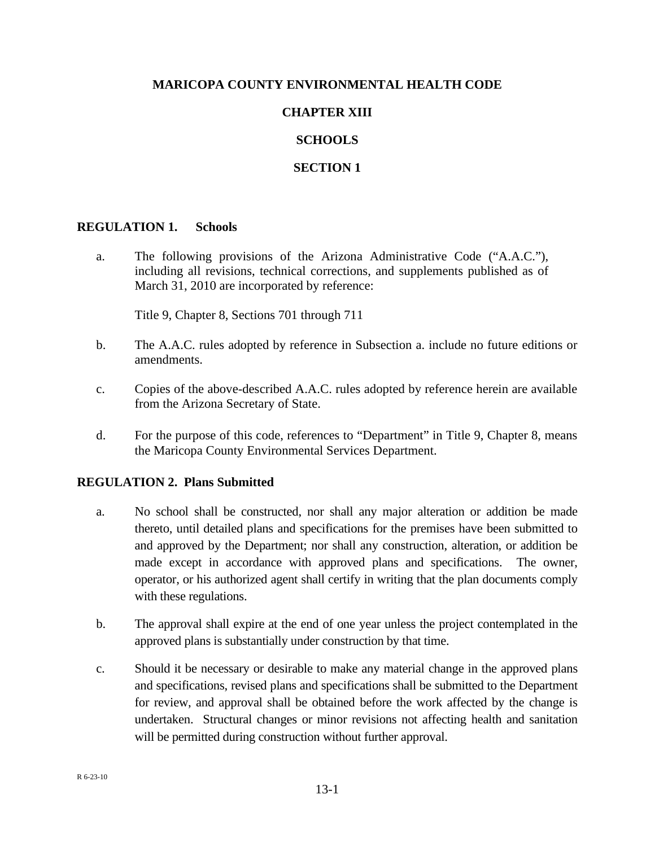## **MARICOPA COUNTY ENVIRONMENTAL HEALTH CODE**

# **CHAPTER XIII**

## **SCHOOLS**

## **SECTION 1**

#### **REGULATION 1. Schools**

a. The following provisions of the Arizona Administrative Code ("A.A.C."), including all revisions, technical corrections, and supplements published as of March 31, 2010 are incorporated by reference:

Title 9, Chapter 8, Sections 701 through 711

- b. The A.A.C. rules adopted by reference in Subsection a. include no future editions or amendments.
- c. Copies of the above-described A.A.C. rules adopted by reference herein are available from the Arizona Secretary of State.
- d. For the purpose of this code, references to "Department" in Title 9, Chapter 8, means the Maricopa County Environmental Services Department.

## **REGULATION 2. Plans Submitted**

- a. No school shall be constructed, nor shall any major alteration or addition be made thereto, until detailed plans and specifications for the premises have been submitted to and approved by the Department; nor shall any construction, alteration, or addition be made except in accordance with approved plans and specifications. The owner, operator, or his authorized agent shall certify in writing that the plan documents comply with these regulations.
- b. The approval shall expire at the end of one year unless the project contemplated in the approved plans is substantially under construction by that time.
- c. Should it be necessary or desirable to make any material change in the approved plans and specifications, revised plans and specifications shall be submitted to the Department for review, and approval shall be obtained before the work affected by the change is undertaken. Structural changes or minor revisions not affecting health and sanitation will be permitted during construction without further approval.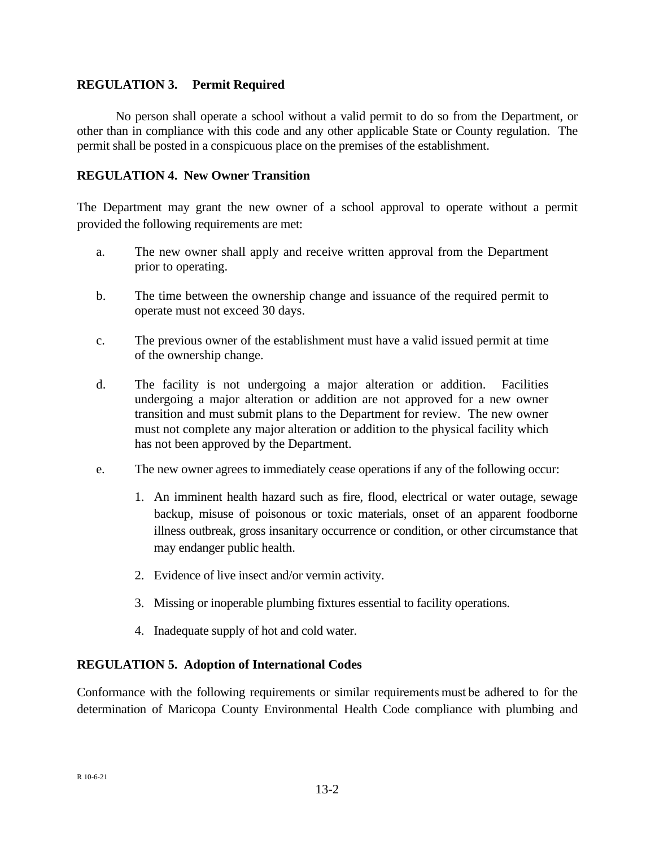## **REGULATION 3. Permit Required**

No person shall operate a school without a valid permit to do so from the Department, or other than in compliance with this code and any other applicable State or County regulation. The permit shall be posted in a conspicuous place on the premises of the establishment.

## **REGULATION 4. New Owner Transition**

The Department may grant the new owner of a school approval to operate without a permit provided the following requirements are met:

- a. The new owner shall apply and receive written approval from the Department prior to operating.
- b. The time between the ownership change and issuance of the required permit to operate must not exceed 30 days.
- c. The previous owner of the establishment must have a valid issued permit at time of the ownership change.
- d. The facility is not undergoing a major alteration or addition. Facilities undergoing a major alteration or addition are not approved for a new owner transition and must submit plans to the Department for review. The new owner must not complete any major alteration or addition to the physical facility which has not been approved by the Department.
- e. The new owner agrees to immediately cease operations if any of the following occur:
	- 1. An imminent health hazard such as fire, flood, electrical or water outage, sewage backup, misuse of poisonous or toxic materials, onset of an apparent foodborne illness outbreak, gross insanitary occurrence or condition, or other circumstance that may endanger public health.
	- 2. Evidence of live insect and/or vermin activity.
	- 3. Missing or inoperable plumbing fixtures essential to facility operations.
	- 4. Inadequate supply of hot and cold water.

## **REGULATION 5. Adoption of International Codes**

Conformance with the following requirements or similar requirements must be adhered to for the determination of Maricopa County Environmental Health Code compliance with plumbing and